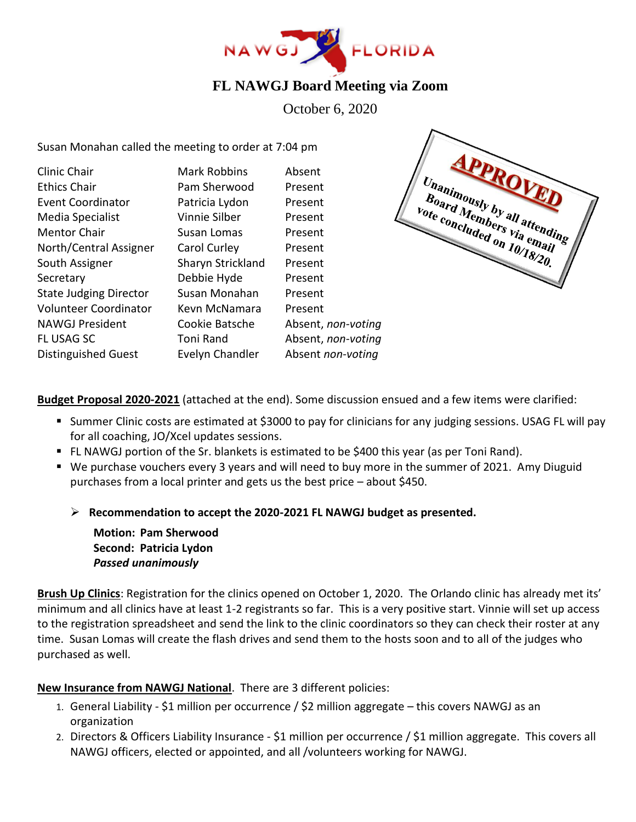

## **FL NAWGJ Board Meeting via Zoom**

October 6, 2020

Susan Monahan called the meeting to order at 7:04 pm

| Clinic Chair                  | <b>Mark Robbins</b> | Absent             |
|-------------------------------|---------------------|--------------------|
| <b>Ethics Chair</b>           | Pam Sherwood        | Present            |
| <b>Event Coordinator</b>      | Patricia Lydon      | Present            |
| Media Specialist              | Vinnie Silber       | Present            |
| <b>Mentor Chair</b>           | Susan Lomas         | Present            |
| North/Central Assigner        | Carol Curley        | Present            |
| South Assigner                | Sharyn Strickland   | Present            |
| Secretary                     | Debbie Hyde         | Present            |
| <b>State Judging Director</b> | Susan Monahan       | Present            |
| <b>Volunteer Coordinator</b>  | Kevn McNamara       | Present            |
| <b>NAWGJ President</b>        | Cookie Batsche      | Absent, non-voting |
| <b>FL USAG SC</b>             | Toni Rand           | Absent, non-voting |
| <b>Distinguished Guest</b>    | Evelyn Chandler     | Absent non-voting  |
|                               |                     |                    |



**Budget Proposal 2020-2021** (attached at the end). Some discussion ensued and a few items were clarified:

- Summer Clinic costs are estimated at \$3000 to pay for clinicians for any judging sessions. USAG FL will pay for all coaching, JO/Xcel updates sessions.
- FL NAWGJ portion of the Sr. blankets is estimated to be \$400 this year (as per Toni Rand).
- We purchase vouchers every 3 years and will need to buy more in the summer of 2021. Amy Diuguid purchases from a local printer and gets us the best price – about \$450.
	- ➢ **Recommendation to accept the 2020-2021 FL NAWGJ budget as presented.**

**Motion: Pam Sherwood Second: Patricia Lydon** *Passed unanimously*

**Brush Up Clinics**: Registration for the clinics opened on October 1, 2020. The Orlando clinic has already met its' minimum and all clinics have at least 1-2 registrants so far. This is a very positive start. Vinnie will set up access to the registration spreadsheet and send the link to the clinic coordinators so they can check their roster at any time. Susan Lomas will create the flash drives and send them to the hosts soon and to all of the judges who purchased as well.

### **New Insurance from NAWGJ National**. There are 3 different policies:

- 1. General Liability \$1 million per occurrence / \$2 million aggregate this covers NAWGJ as an organization
- 2. Directors & Officers Liability Insurance \$1 million per occurrence / \$1 million aggregate. This covers all NAWGJ officers, elected or appointed, and all /volunteers working for NAWGJ.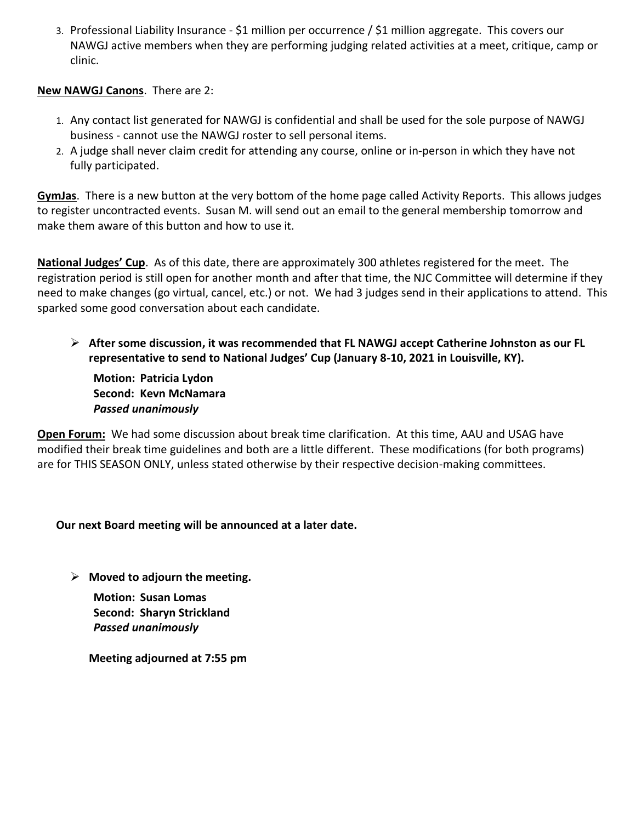3. Professional Liability Insurance - \$1 million per occurrence / \$1 million aggregate. This covers our NAWGJ active members when they are performing judging related activities at a meet, critique, camp or clinic.

#### **New NAWGJ Canons**. There are 2:

- 1. Any contact list generated for NAWGJ is confidential and shall be used for the sole purpose of NAWGJ business - cannot use the NAWGJ roster to sell personal items.
- 2. A judge shall never claim credit for attending any course, online or in-person in which they have not fully participated.

**GymJas**. There is a new button at the very bottom of the home page called Activity Reports. This allows judges to register uncontracted events. Susan M. will send out an email to the general membership tomorrow and make them aware of this button and how to use it.

**National Judges' Cup**. As of this date, there are approximately 300 athletes registered for the meet. The registration period is still open for another month and after that time, the NJC Committee will determine if they need to make changes (go virtual, cancel, etc.) or not. We had 3 judges send in their applications to attend. This sparked some good conversation about each candidate.

➢ **After some discussion, it was recommended that FL NAWGJ accept Catherine Johnston as our FL representative to send to National Judges' Cup (January 8-10, 2021 in Louisville, KY).** 

**Motion: Patricia Lydon Second: Kevn McNamara** *Passed unanimously* 

**Open Forum:** We had some discussion about break time clarification. At this time, AAU and USAG have modified their break time guidelines and both are a little different. These modifications (for both programs) are for THIS SEASON ONLY, unless stated otherwise by their respective decision-making committees.

### **Our next Board meeting will be announced at a later date.**

➢ **Moved to adjourn the meeting.**

**Motion: Susan Lomas Second: Sharyn Strickland** *Passed unanimously*

**Meeting adjourned at 7:55 pm**